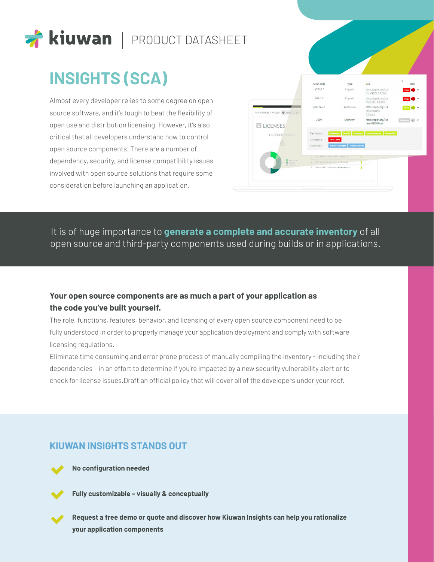

# **INSIGHTS (SCA)**

Almost every developer relies to some degree on open source software, and it's tough to beat the flexibility of open use and distribution licensing. However, it's also critical that all developers understand how to control open source components. There are a number of dependency, security, and license compatibility issues involved with open source solutions that require some consideration before launching an application.

|                                             | SPDX code                                 | Type                                        | <b>URL</b>                                              | <b>Risk</b> |
|---------------------------------------------|-------------------------------------------|---------------------------------------------|---------------------------------------------------------|-------------|
|                                             | AGPL-3.0                                  | Copyleft                                    | https://spdx.org/lice<br>nses/AGPL-3.0.html             |             |
|                                             | $GPL-1.0$                                 | Copyleft                                    | https://spdx.org/lice<br>nses/GPL-1.0.html              |             |
| VulnerableLab » Analysis @ 2019 01/23 17:34 | Apache-2.0                                | Permissive                                  | https://spdx.org/lice<br>nses/Apache-<br>$2.0$ .html    |             |
| $E$ LICENSES                                | <b>JSON</b>                               | Unknown                                     | https://spdx.org/lice<br>nses/JSON.html                 | Unknown     |
| <b>LICENSES BY TYPE</b>                     | Permissions                               |                                             | Sublicense Modify Distributo Commercial Use Private Use |             |
|                                             | <b>Hold Liable</b><br>Limitations         |                                             |                                                         |             |
|                                             | Conditions                                | Include Copyright<br><b>Include License</b> |                                                         |             |
|                                             | 3. GNU Affero General Public License v3.0 |                                             |                                                         |             |
|                                             | 4 GNU General Public License v1.0 only    |                                             |                                                         |             |
| Permissive<br>Copylet:                      |                                           |                                             |                                                         |             |
| Unknown                                     | 5. CDDL + GPLv2 with classpath exception  |                                             | $\mathbf{1}$                                            |             |

## It is of huge importance to **generate a complete and accurate inventory** of all open source and third-party components used during builds or in applications.

### **Your open source components are as much a part of your application as the code you've built yourself.**

The role, functions, features, behavior, and licensing of every open source component need to be fully understood in order to properly manage your application deployment and comply with software licensing regulations.

Eliminate time consuming and error prone process of manually compiling the inventory - including their dependencies – in an effort to determine if you're impacted by a new security vulnerability alert or to check for license issues.Draft an official policy that will cover all of the developers under your roof.

### **KIUWAN INSIGHTS STANDS OUT**

**No configuration needed**



**Fully customizable – visually & conceptually**

**Request a free demo or quote and discover how Kiuwan Insights can help you rationalize your application components**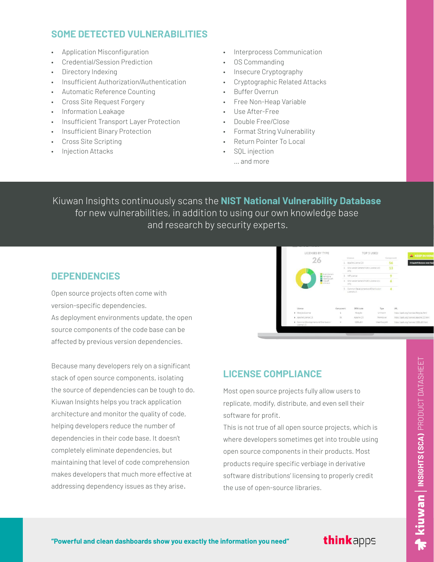### **SOME DETECTED VULNERABILITIES**

- Application Misconfiguration
- Credential/Session Prediction
- Directory Indexing
- Insufficient Authorization/Authentication
- Automatic Reference Counting
- Cross Site Request Forgery
- Information Leakage
- Insufficient Transport Layer Protection
- Insufficient Binary Protection
- Cross Site Scripting
- Injection Attacks
- Interprocess Communication
- OS Commanding
- Insecure Cryptography
- Cryptographic Related Attacks
- Buffer Overrun
- Free Non-Heap Variable
- Use After-Free
- Double Free/Close
- Format String Vulnerability
- Return Pointer To Local
- SOL injection
	- … and more

Kiuwan Insights continuously scans the **NIST National Vulnerability Database** for new vulnerabilities, in addition to using our own knowledge base and research by security experts.

### **DEPENDENCIES**

Open source projects often come with version-specific dependencies.

As deployment environments update, the open source components of the code base can be affected by previous version dependencies.

Because many developers rely on a significant stack of open source components, isolating the source of dependencies can be tough to do. Kiuwan Insights helps you track application architecture and monitor the quality of code, helping developers reduce the number of dependencies in their code base. It doesn't completely eliminate dependencies, but maintaining that level of code comprehension makes developers that much more effective at addressing dependency issues as they arise.



## **LICENSE COMPLIANCE**

Most open source projects fully allow users to replicate, modify, distribute, and even sell their software for profit.

This is not true of all open source projects, which is where developers sometimes get into trouble using open source components in their products. Most products require specific verbiage in derivative software distributions' licensing to properly credit the use of open-source libraries.

**INSIGHTS (SCA)** PRODUCT DATASHEET

 $\blacktriangleright$  Kiuwan  $\mid$  insights (sca) product datasheet

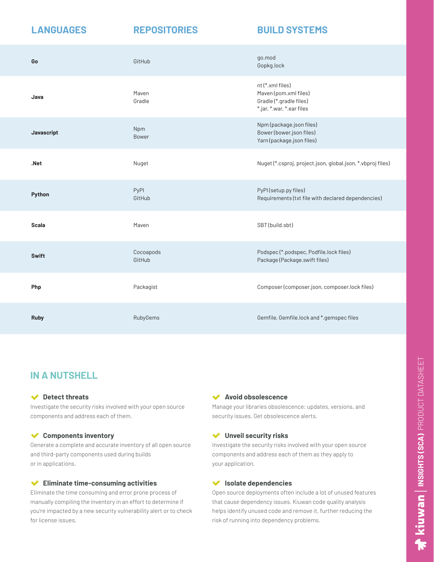### **LANGUAGES REPOSITORIES BUILD SYSTEMS**

| Go           | GitHub              | go.mod<br>Gopkg.lock                                                                              |
|--------------|---------------------|---------------------------------------------------------------------------------------------------|
| Java         | Maven<br>Gradle     | nt (*.xml files)<br>Maven (pom.xml files)<br>Gradle (*.gradle files)<br>*.jar, *.war, *.ear files |
| Javascript   | Npm<br><b>Bower</b> | Npm (package.json files)<br>Bower (bower.json files)<br>Yarn (package.json files)                 |
| .Net         | Nuget               | Nuget (*.csproj, project.json, global.json, *.vbproj files)                                       |
| Python       | PyPI<br>GitHub      | PyPI (setup.py files)<br>Requirements (txt file with declared dependencies)                       |
| <b>Scala</b> | Maven               | SBT (build.sbt)                                                                                   |
| <b>Swift</b> | Cocoapods<br>GitHub | Podspec (*.podspec, Podfile.lock files)<br>Package (Package.swift files)                          |
| Php          | Packagist           | Composer (composer.json, composer.lock files)                                                     |
| <b>Ruby</b>  | RubyGems            | Gemfile, Gemfile.lock and *.gemspec files                                                         |

## **IN A NUTSHELL**

### **Detect threats**

Investigate the security risks involved with your open source components and address each of them.

### **Components inventory**

Generate a complete and accurate inventory of all open source and third-party components used during builds or in applications.

### **Eliminate time-consuming activities**

Eliminate the time consuming and error prone process of manually compiling the inventory in an effort to determine if you're impacted by a new security vulnerability alert or to check for license issues.

### $\blacktriangledown$ **Avoid obsolescence**

Manage your libraries obsolescence: updates, versions, and security issues. Get obsolescence alerts.

### **Unveil security risks**

Investigate the security risks involved with your open source components and address each of them as they apply to your application.

### **Isolate dependencies**

Open source deployments often include a lot of unused features that cause dependency issues. Kiuwan code quality analysis helps identify unused code and remove it, further reducing the risk of running into dependency problems.